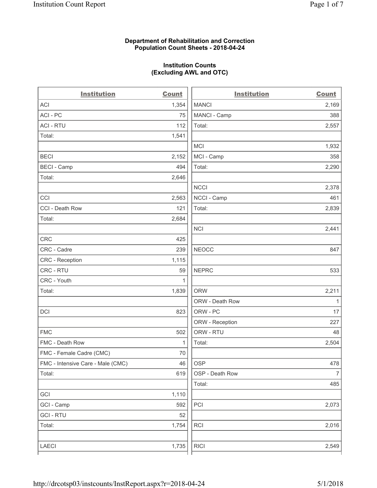## **Department of Rehabilitation and Correction Population Count Sheets - 2018-04-24**

# **Institution Counts (Excluding AWL and OTC)**

. .

| <b>Institution</b>                | <b>Count</b> | <b>Institution</b> | <b>Count</b>   |
|-----------------------------------|--------------|--------------------|----------------|
| ACI                               | 1,354        | <b>MANCI</b>       | 2,169          |
| ACI - PC                          | 75           | MANCI - Camp       | 388            |
| <b>ACI - RTU</b>                  | 112          | Total:             | 2,557          |
| Total:                            | 1,541        |                    |                |
|                                   |              | <b>MCI</b>         | 1,932          |
| <b>BECI</b>                       | 2,152        | MCI - Camp         | 358            |
| <b>BECI</b> - Camp                | 494          | Total:             | 2,290          |
| Total:                            | 2,646        |                    |                |
|                                   |              | <b>NCCI</b>        | 2,378          |
| CCI                               | 2,563        | NCCI - Camp        | 461            |
| CCI - Death Row                   | 121          | Total:             | 2,839          |
| Total:                            | 2,684        |                    |                |
|                                   |              | <b>NCI</b>         | 2,441          |
| <b>CRC</b>                        | 425          |                    |                |
| CRC - Cadre                       | 239          | <b>NEOCC</b>       | 847            |
| CRC - Reception                   | 1,115        |                    |                |
| CRC - RTU                         | 59           | <b>NEPRC</b>       | 533            |
| CRC - Youth                       | 1            |                    |                |
| Total:                            | 1,839        | <b>ORW</b>         | 2,211          |
|                                   |              | ORW - Death Row    | 1              |
| DCI                               | 823          | ORW - PC           | 17             |
|                                   |              | ORW - Reception    | 227            |
| <b>FMC</b>                        | 502          | ORW - RTU          | 48             |
| FMC - Death Row                   | 1            | Total:             | 2,504          |
| FMC - Female Cadre (CMC)          | 70           |                    |                |
| FMC - Intensive Care - Male (CMC) | 46           | <b>OSP</b>         | 478            |
| Total:                            | 619          | OSP - Death Row    | $\overline{7}$ |
|                                   |              | Total:             | 485            |
| GCI                               | 1,110        |                    |                |
| GCI - Camp                        | 592          | PCI                | 2,073          |
| <b>GCI-RTU</b>                    | 52           |                    |                |
| Total:                            | 1,754        | RCI                | 2,016          |
|                                   |              |                    |                |
| LAECI                             | 1,735        | <b>RICI</b>        | 2,549          |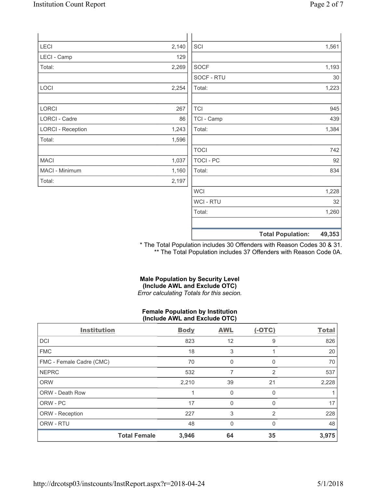| Page 2 of 7 |  |
|-------------|--|
|             |  |

| LECI                     | 2,140 | SCI              | 1,561                              |
|--------------------------|-------|------------------|------------------------------------|
| LECI - Camp              | 129   |                  |                                    |
| Total:                   | 2,269 | <b>SOCF</b>      | 1,193                              |
|                          |       | SOCF - RTU       | $30\,$                             |
| LOCI                     | 2,254 | Total:           | 1,223                              |
|                          |       |                  |                                    |
| LORCI                    | 267   | <b>TCI</b>       | 945                                |
| LORCI - Cadre            | 86    | TCI - Camp       | 439                                |
| <b>LORCI - Reception</b> | 1,243 | Total:           | 1,384                              |
| Total:                   | 1,596 |                  |                                    |
|                          |       | <b>TOCI</b>      | 742                                |
| MACI                     | 1,037 | <b>TOCI - PC</b> | 92                                 |
| MACI - Minimum           | 1,160 | Total:           | 834                                |
| Total:                   | 2,197 |                  |                                    |
|                          |       | <b>WCI</b>       | 1,228                              |
|                          |       | <b>WCI-RTU</b>   | 32                                 |
|                          |       | Total:           | 1,260                              |
|                          |       |                  | 49,353<br><b>Total Population:</b> |

\* The Total Population includes 30 Offenders with Reason Codes 30 & 31. \*\* The Total Population includes 37 Offenders with Reason Code 0A.

## **Male Population by Security Level (Include AWL and Exclude OTC)**  *Error calculating Totals for this secion.*

## **Female Population by Institution (Include AWL and Exclude OTC)**

| <b>Institution</b>       |                     | <b>Body</b> | <b>AWL</b>   | $(-OTC)$     | <b>Total</b> |
|--------------------------|---------------------|-------------|--------------|--------------|--------------|
| <b>DCI</b>               |                     | 823         | 12           | 9            | 826          |
| <b>FMC</b>               |                     | 18          | 3            |              | 20           |
| FMC - Female Cadre (CMC) |                     | 70          | 0            | 0            | 70           |
| <b>NEPRC</b>             |                     | 532         | 7            | 2            | 537          |
| <b>ORW</b>               |                     | 2,210       | 39           | 21           | 2,228        |
| <b>ORW - Death Row</b>   |                     |             | 0            | $\Omega$     |              |
| ORW - PC                 |                     | 17          | 0            | <sup>0</sup> | 17           |
| ORW - Reception          |                     | 227         | 3            | 2            | 228          |
| ORW - RTU                |                     | 48          | $\mathbf{0}$ | $\Omega$     | 48           |
|                          | <b>Total Female</b> | 3,946       | 64           | 35           | 3,975        |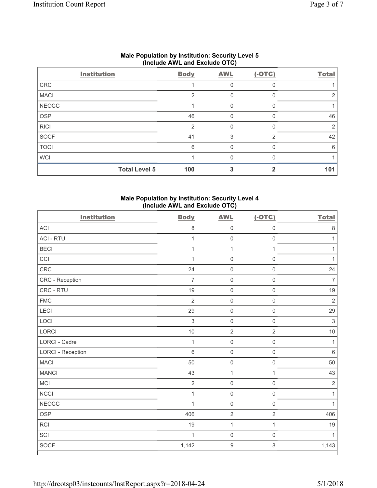|              | $(1101000$ ATTL and LAGIUGU $(0.10)$ |             |            |          |              |  |  |
|--------------|--------------------------------------|-------------|------------|----------|--------------|--|--|
|              | <b>Institution</b>                   | <b>Body</b> | <b>AWL</b> | $(-OTC)$ | <b>Total</b> |  |  |
| CRC          |                                      |             | 0          |          |              |  |  |
| <b>MACI</b>  |                                      | 2           | 0          |          |              |  |  |
| <b>NEOCC</b> |                                      |             | $\Omega$   | n        |              |  |  |
| <b>OSP</b>   |                                      | 46          |            |          | 46           |  |  |
| <b>RICI</b>  |                                      | 2           | $\Omega$   | $\Omega$ | 2            |  |  |
| SOCF         |                                      | 41          | 3          | 2        | 42           |  |  |
| <b>TOCI</b>  |                                      | 6           | $\Omega$   | $\Omega$ | 6            |  |  |
| <b>WCI</b>   |                                      |             | U          |          |              |  |  |
|              | <b>Total Level 5</b>                 | 100         |            |          | 101          |  |  |

## **Male Population by Institution: Security Level 5 (Include AWL and Exclude OTC)**

# **Male Population by Institution: Security Level 4 (Include AWL and Exclude OTC)**

| <b>Institution</b>       | <b>Body</b>    | <b>AWL</b>          | $(-OTC)$            | <b>Total</b>   |
|--------------------------|----------------|---------------------|---------------------|----------------|
| <b>ACI</b>               | $\,8\,$        | $\mathsf 0$         | $\mathbf 0$         | $\,8\,$        |
| <b>ACI - RTU</b>         | $\mathbf{1}$   | $\mathsf{O}\xspace$ | $\boldsymbol{0}$    | $\mathbf{1}$   |
| <b>BECI</b>              | $\mathbf{1}$   | $\mathbf 1$         | $\mathbf{1}$        | 1              |
| CCI                      | $\mathbf{1}$   | $\mathsf{O}\xspace$ | $\mathbf 0$         | $\mathbf{1}$   |
| CRC                      | 24             | $\mathsf 0$         | $\mathsf 0$         | 24             |
| CRC - Reception          | $\overline{7}$ | $\mathsf{O}\xspace$ | $\mathsf{O}\xspace$ | $\overline{7}$ |
| CRC - RTU                | 19             | $\mathsf 0$         | $\mathsf 0$         | 19             |
| <b>FMC</b>               | $\overline{2}$ | $\mathsf 0$         | $\mathsf{O}\xspace$ | $\overline{2}$ |
| <b>LECI</b>              | 29             | $\mathsf 0$         | $\mathsf{O}\xspace$ | 29             |
| LOCI                     | $\mathsf 3$    | $\mathsf{O}\xspace$ | $\mathsf{O}\xspace$ | $\sqrt{3}$     |
| LORCI                    | $10$           | $\sqrt{2}$          | $\sqrt{2}$          | 10             |
| LORCI - Cadre            | $\mathbf{1}$   | $\mathsf{O}\xspace$ | $\boldsymbol{0}$    | $\mathbf{1}$   |
| <b>LORCI - Reception</b> | 6              | $\mathsf{O}\xspace$ | $\mathsf{O}\xspace$ | $\,6\,$        |
| <b>MACI</b>              | 50             | $\mathsf 0$         | $\mathbf 0$         | 50             |
| <b>MANCI</b>             | 43             | $\mathbf{1}$        | $\mathbf{1}$        | 43             |
| MCI                      | $\sqrt{2}$     | $\mathsf 0$         | $\mathbf 0$         | $\overline{2}$ |
| <b>NCCI</b>              | $\mathbf{1}$   | $\mathsf{O}\xspace$ | $\mathsf{O}\xspace$ | $\mathbf{1}$   |
| <b>NEOCC</b>             | $\overline{1}$ | $\mathsf{O}\xspace$ | $\mathsf{O}\xspace$ | $\mathbf{1}$   |
| <b>OSP</b>               | 406            | $\sqrt{2}$          | $\overline{2}$      | 406            |
| <b>RCI</b>               | 19             | $\mathbf{1}$        | $\mathbf{1}$        | 19             |
| SCI                      | $\mathbf{1}$   | $\mathsf 0$         | $\mathbf 0$         | 1              |
| <b>SOCF</b>              | 1,142          | $\boldsymbol{9}$    | 8                   | 1,143          |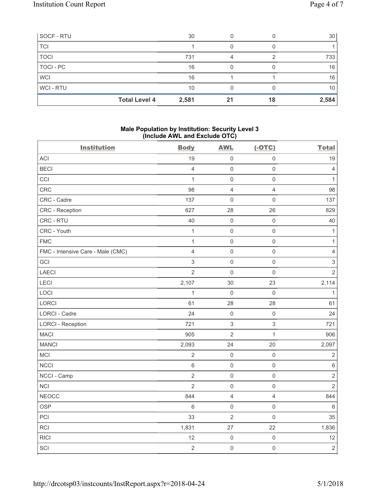| SOCF - RTU       |                      | 30    |    |    | 30    |
|------------------|----------------------|-------|----|----|-------|
| <b>TCI</b>       |                      |       |    |    |       |
| <b>TOCI</b>      |                      | 731   |    |    | 733   |
| <b>TOCI - PC</b> |                      | 16    |    |    | 16    |
| <b>WCI</b>       |                      | 16    |    |    | 16    |
| WCI-RTU          |                      | 10    |    |    | 10    |
|                  | <b>Total Level 4</b> | 2,581 | 21 | 18 | 2,584 |

## **Male Population by Institution: Security Level 3 (Include AWL and Exclude OTC)**

| <b>Institution</b>                | <b>Body</b>    | <b>AWL</b>          | $(-OTC)$            | <b>Total</b>              |
|-----------------------------------|----------------|---------------------|---------------------|---------------------------|
| <b>ACI</b>                        | 19             | $\mathsf{O}\xspace$ | $\mathsf{O}\xspace$ | 19                        |
| <b>BECI</b>                       | $\overline{4}$ | $\mathsf{O}\xspace$ | $\mathsf{O}\xspace$ | $\overline{4}$            |
| CCI                               | $\mathbf{1}$   | $\mathsf{O}\xspace$ | $\mathsf{O}\xspace$ | $\mathbf{1}$              |
| CRC                               | 98             | $\overline{4}$      | $\overline{4}$      | 98                        |
| CRC - Cadre                       | 137            | $\mathsf{O}$        | $\mathsf{O}\xspace$ | 137                       |
| CRC - Reception                   | 827            | 28                  | 26                  | 829                       |
| CRC - RTU                         | 40             | $\mathsf{O}\xspace$ | $\mathbf 0$         | 40                        |
| CRC - Youth                       | 1              | $\mathsf 0$         | $\mathsf{O}\xspace$ | $\mathbf{1}$              |
| <b>FMC</b>                        | 1              | $\mathbf 0$         | $\mathsf{O}\xspace$ | 1                         |
| FMC - Intensive Care - Male (CMC) | $\overline{4}$ | $\mathbf 0$         | $\mathsf{O}\xspace$ | $\overline{4}$            |
| GCI                               | $\sqrt{3}$     | $\mathbf 0$         | $\mathsf 0$         | $\ensuremath{\mathsf{3}}$ |
| LAECI                             | $\overline{2}$ | $\mathbf 0$         | $\mathsf{O}\xspace$ | $\overline{2}$            |
| LECI                              | 2,107          | 30                  | 23                  | 2,114                     |
| LOCI                              | $\mathbf{1}$   | $\mathsf{O}\xspace$ | $\mathsf{O}\xspace$ | $\mathbf{1}$              |
| LORCI                             | 61             | 28                  | 28                  | 61                        |
| LORCI - Cadre                     | 24             | $\mathsf{O}\xspace$ | $\mathsf{O}\xspace$ | 24                        |
| <b>LORCI - Reception</b>          | 721            | $\,$ 3 $\,$         | $\mathsf 3$         | 721                       |
| <b>MACI</b>                       | 905            | $\overline{2}$      | $\mathbf{1}$        | 906                       |
| <b>MANCI</b>                      | 2,093          | 24                  | 20                  | 2,097                     |
| MCI                               | $\overline{2}$ | $\mathsf{O}\xspace$ | $\mathsf{O}\xspace$ | $\sqrt{2}$                |
| <b>NCCI</b>                       | $\,6\,$        | $\mathsf 0$         | $\mathsf{O}\xspace$ | $\,6\,$                   |
| NCCI - Camp                       | $\overline{2}$ | $\mathsf{O}\xspace$ | $\mathsf{O}\xspace$ | $\overline{2}$            |
| <b>NCI</b>                        | $\overline{2}$ | $\mathsf{O}\xspace$ | $\mathsf 0$         | $\overline{2}$            |
| <b>NEOCC</b>                      | 844            | $\overline{4}$      | $\overline{4}$      | 844                       |
| <b>OSP</b>                        | $\,6\,$        | $\mathsf 0$         | $\mathsf{O}\xspace$ | $\,6\,$                   |
| PCI                               | 33             | $\overline{2}$      | $\mathsf{O}\xspace$ | 35                        |
| RCI                               | 1,831          | 27                  | 22                  | 1,836                     |
| <b>RICI</b>                       | 12             | $\mathsf 0$         | $\mathsf{O}\xspace$ | 12                        |
| SCI                               | $\overline{2}$ | $\mathsf{O}\xspace$ | $\mathsf{O}\xspace$ | $\overline{2}$            |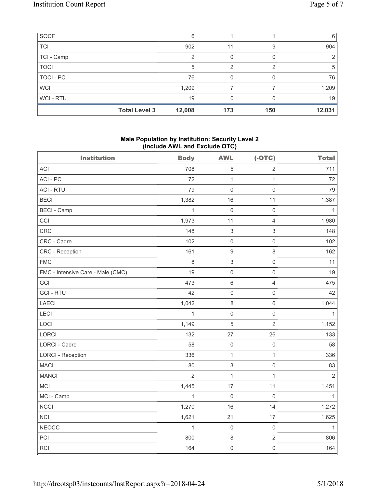| SOCF           |                      | 6      |     |     | 6      |
|----------------|----------------------|--------|-----|-----|--------|
| <b>TCI</b>     |                      | 902    | 11  | 9   | 904    |
| TCI - Camp     |                      |        | O   |     | 2      |
| <b>TOCI</b>    |                      | 5      | っ   | っ   | 5      |
| TOCI - PC      |                      | 76     | O   |     | 76     |
| <b>WCI</b>     |                      | 1,209  |     |     | 1,209  |
| <b>WCI-RTU</b> |                      | 19     | 0   |     | 19     |
|                | <b>Total Level 3</b> | 12,008 | 173 | 150 | 12,031 |

## **Male Population by Institution: Security Level 2 (Include AWL and Exclude OTC)**

| <b>Institution</b>                | <b>Body</b>    | <b>AWL</b>                | $(-OTC)$                | <b>Total</b>   |
|-----------------------------------|----------------|---------------------------|-------------------------|----------------|
| <b>ACI</b>                        | 708            | $\,$ 5 $\,$               | $\overline{2}$          | 711            |
| ACI - PC                          | 72             | $\mathbf{1}$              | $\mathbf{1}$            | 72             |
| <b>ACI - RTU</b>                  | 79             | $\mathbf 0$               | $\mathsf 0$             | 79             |
| <b>BECI</b>                       | 1,382          | 16                        | 11                      | 1,387          |
| <b>BECI</b> - Camp                | 1              | $\mathbf 0$               | $\mathsf{O}\xspace$     | $\mathbf{1}$   |
| CCI                               | 1,973          | 11                        | $\overline{\mathbf{4}}$ | 1,980          |
| <b>CRC</b>                        | 148            | $\ensuremath{\mathsf{3}}$ | 3                       | 148            |
| CRC - Cadre                       | 102            | $\mathsf{O}\xspace$       | $\mathsf{O}\xspace$     | 102            |
| <b>CRC</b> - Reception            | 161            | $\boldsymbol{9}$          | 8                       | 162            |
| <b>FMC</b>                        | 8              | $\ensuremath{\mathsf{3}}$ | $\mathsf{O}\xspace$     | 11             |
| FMC - Intensive Care - Male (CMC) | 19             | $\mathsf{O}\xspace$       | $\mathsf{O}\xspace$     | 19             |
| GCI                               | 473            | $\,$ 6 $\,$               | $\overline{4}$          | 475            |
| <b>GCI-RTU</b>                    | 42             | $\mathbf 0$               | $\mathsf{O}\xspace$     | 42             |
| <b>LAECI</b>                      | 1,042          | $\,8\,$                   | $\,6$                   | 1,044          |
| LECI                              | $\mathbf{1}$   | $\mathbf 0$               | $\mathsf{O}\xspace$     | $\mathbf{1}$   |
| LOCI                              | 1,149          | $\sqrt{5}$                | $\overline{2}$          | 1,152          |
| LORCI                             | 132            | 27                        | 26                      | 133            |
| LORCI - Cadre                     | 58             | $\mathsf{O}\xspace$       | $\mathsf{O}\xspace$     | 58             |
| <b>LORCI - Reception</b>          | 336            | $\mathbf{1}$              | $\overline{1}$          | 336            |
| <b>MACI</b>                       | 80             | $\ensuremath{\mathsf{3}}$ | $\mathsf{O}\xspace$     | 83             |
| <b>MANCI</b>                      | $\overline{2}$ | $\mathbf{1}$              | $\mathbf{1}$            | $\overline{2}$ |
| MCI                               | 1,445          | 17                        | 11                      | 1,451          |
| MCI - Camp                        | 1              | $\mathbf 0$               | $\mathsf{O}\xspace$     | 1              |
| NCCI                              | 1,270          | 16                        | 14                      | 1,272          |
| <b>NCI</b>                        | 1,621          | 21                        | $17$                    | 1,625          |
| <b>NEOCC</b>                      | $\mathbf{1}$   | $\mathsf{O}\xspace$       | $\mathsf{O}\xspace$     | $\mathbf{1}$   |
| PCI                               | 800            | $\,8\,$                   | $\overline{2}$          | 806            |
| <b>RCI</b>                        | 164            | $\mathbf 0$               | $\mathsf{O}\xspace$     | 164            |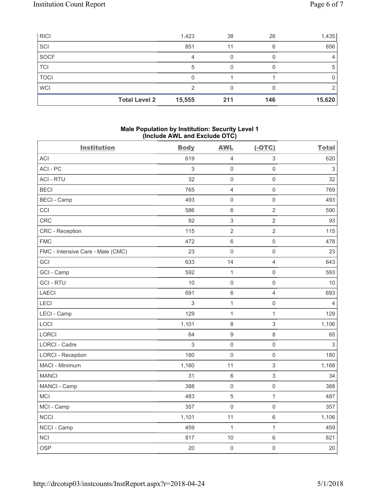| <b>RICI</b> |                      | 1,423  | 38  | 26  | 1,435          |
|-------------|----------------------|--------|-----|-----|----------------|
| SCI         |                      | 851    | 11  | 6   | 856            |
| SOCF        |                      | 4      |     |     | $\overline{4}$ |
| TCI         |                      | 5      |     |     | 5              |
| TOCI        |                      |        |     |     | 0              |
| <b>WCI</b>  |                      | ◠      |     |     | 2              |
|             | <b>Total Level 2</b> | 15,555 | 211 | 146 | 15,620         |

### **Male Population by Institution: Security Level 1 (Include AWL and Exclude OTC)**

| <b>Institution</b>                | <b>Body</b> | <b>AWL</b>          | $(-OTC)$            | <b>Total</b>              |
|-----------------------------------|-------------|---------------------|---------------------|---------------------------|
| ACI                               | 619         | $\overline{4}$      | 3                   | 620                       |
| ACI - PC                          | 3           | $\mathsf{O}\xspace$ | $\mathsf{O}\xspace$ | $\ensuremath{\mathsf{3}}$ |
| <b>ACI - RTU</b>                  | 32          | $\mathsf{O}\xspace$ | $\mathsf{O}\xspace$ | 32                        |
| <b>BECI</b>                       | 765         | $\overline{4}$      | 0                   | 769                       |
| <b>BECI - Camp</b>                | 493         | $\mathsf{O}\xspace$ | $\mathsf{O}\xspace$ | 493                       |
| CCI                               | 586         | $\,6\,$             | $\overline{2}$      | 590                       |
| <b>CRC</b>                        | 92          | $\mathsf 3$         | $\overline{2}$      | 93                        |
| <b>CRC</b> - Reception            | 115         | $\sqrt{2}$          | $\overline{2}$      | 115                       |
| <b>FMC</b>                        | 472         | $\,6\,$             | $\mathsf{O}\xspace$ | 478                       |
| FMC - Intensive Care - Male (CMC) | 23          | $\mathsf{O}\xspace$ | $\mathsf{O}\xspace$ | 23                        |
| GCI                               | 633         | 14                  | $\overline{4}$      | 643                       |
| GCI - Camp                        | 592         | $\mathbf{1}$        | $\mathsf{O}\xspace$ | 593                       |
| <b>GCI-RTU</b>                    | 10          | $\mathsf 0$         | $\mathsf{O}\xspace$ | 10                        |
| <b>LAECI</b>                      | 691         | $\,6\,$             | $\overline{4}$      | 693                       |
| LECI                              | 3           | $\mathbf{1}$        | $\mathsf{O}\xspace$ | $\overline{4}$            |
| LECI - Camp                       | 129         | $\mathbf 1$         | $\mathbf{1}$        | 129                       |
| LOCI                              | 1,101       | $\,8\,$             | 3                   | 1,106                     |
| LORCI                             | 64          | $\hbox{9}$          | 8                   | 65                        |
| <b>LORCI - Cadre</b>              | 3           | $\mathsf{O}\xspace$ | $\mathsf{O}\xspace$ | $\sqrt{3}$                |
| <b>LORCI - Reception</b>          | 180         | $\mathbf 0$         | 0                   | 180                       |
| MACI - Minimum                    | 1,160       | 11                  | 3                   | 1,168                     |
| <b>MANCI</b>                      | 31          | $6\,$               | 3                   | 34                        |
| MANCI - Camp                      | 388         | $\mathsf{O}\xspace$ | $\mathsf{O}\xspace$ | 388                       |
| <b>MCI</b>                        | 483         | $\,$ 5 $\,$         | $\mathbf{1}$        | 487                       |
| MCI - Camp                        | 357         | $\mathsf{O}\xspace$ | $\mathsf{O}\xspace$ | 357                       |
| <b>NCCI</b>                       | 1,101       | 11                  | 6                   | 1,106                     |
| NCCI - Camp                       | 459         | $\mathbf{1}$        | $\mathbf{1}$        | 459                       |
| <b>NCI</b>                        | 817         | 10                  | $\,6$               | 821                       |
| <b>OSP</b>                        | 20          | $\mathsf{O}\xspace$ | $\mathsf{O}\xspace$ | 20                        |